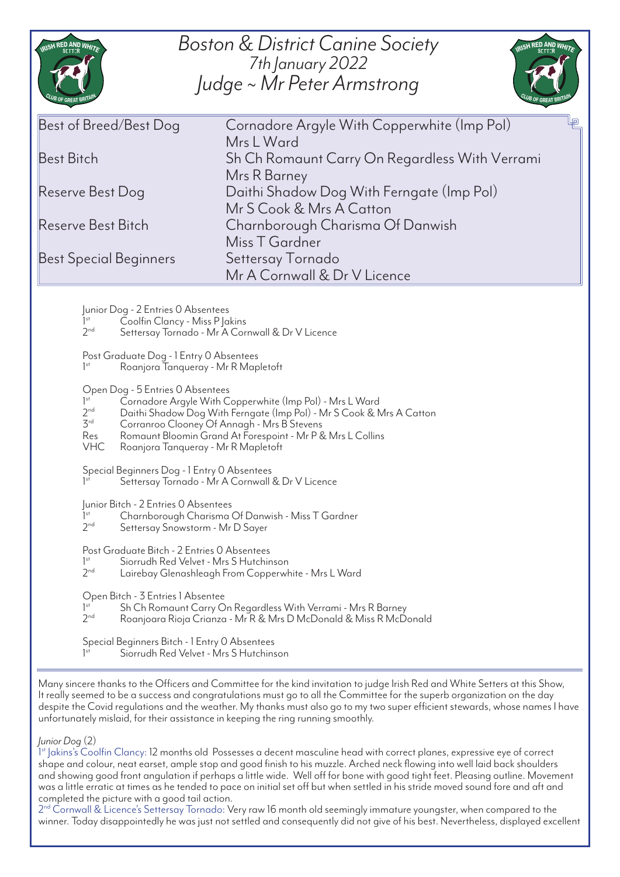| <b>Boston &amp; District Canine Society</b><br>RISH RED AND WHITE<br>ISH RED AND WHITE<br>7th January 2022<br>Judge ~ Mr Peter Armstrong                                                                                                                                                                                                                                                                                                                                                                                                                                                                                                                                                                                                                                                                                                                                                                                                                                                                                                                                                                                                                                                                                                                                                                                                                                                                                                                                                                                                                                                                                                                                                                                                                                                                                                                                                                                 |                                                                       |
|--------------------------------------------------------------------------------------------------------------------------------------------------------------------------------------------------------------------------------------------------------------------------------------------------------------------------------------------------------------------------------------------------------------------------------------------------------------------------------------------------------------------------------------------------------------------------------------------------------------------------------------------------------------------------------------------------------------------------------------------------------------------------------------------------------------------------------------------------------------------------------------------------------------------------------------------------------------------------------------------------------------------------------------------------------------------------------------------------------------------------------------------------------------------------------------------------------------------------------------------------------------------------------------------------------------------------------------------------------------------------------------------------------------------------------------------------------------------------------------------------------------------------------------------------------------------------------------------------------------------------------------------------------------------------------------------------------------------------------------------------------------------------------------------------------------------------------------------------------------------------------------------------------------------------|-----------------------------------------------------------------------|
| Best of Breed/Best Dog                                                                                                                                                                                                                                                                                                                                                                                                                                                                                                                                                                                                                                                                                                                                                                                                                                                                                                                                                                                                                                                                                                                                                                                                                                                                                                                                                                                                                                                                                                                                                                                                                                                                                                                                                                                                                                                                                                   | Cornadore Argyle With Copperwhite (Imp Pol)<br>Mrs L Ward             |
| Best Bitch                                                                                                                                                                                                                                                                                                                                                                                                                                                                                                                                                                                                                                                                                                                                                                                                                                                                                                                                                                                                                                                                                                                                                                                                                                                                                                                                                                                                                                                                                                                                                                                                                                                                                                                                                                                                                                                                                                               | Sh Ch Romaunt Carry On Regardless With Verrami<br>Mrs R Barney        |
| Reserve Best Dog                                                                                                                                                                                                                                                                                                                                                                                                                                                                                                                                                                                                                                                                                                                                                                                                                                                                                                                                                                                                                                                                                                                                                                                                                                                                                                                                                                                                                                                                                                                                                                                                                                                                                                                                                                                                                                                                                                         | Daithi Shadow Dog With Ferngate (Imp Pol)<br>Mr S Cook & Mrs A Catton |
| Reserve Best Bitch                                                                                                                                                                                                                                                                                                                                                                                                                                                                                                                                                                                                                                                                                                                                                                                                                                                                                                                                                                                                                                                                                                                                                                                                                                                                                                                                                                                                                                                                                                                                                                                                                                                                                                                                                                                                                                                                                                       | Charnborough Charisma Of Danwish<br>Miss T Gardner                    |
| Best Special Beginners                                                                                                                                                                                                                                                                                                                                                                                                                                                                                                                                                                                                                                                                                                                                                                                                                                                                                                                                                                                                                                                                                                                                                                                                                                                                                                                                                                                                                                                                                                                                                                                                                                                                                                                                                                                                                                                                                                   | Settersay Tornado<br>Mr A Cornwall & Dr V Licence                     |
| Junior Dog - 2 Entries 0 Absentees<br>1 <sup>st</sup><br>Coolfin Clancy - Miss P   akins<br>2 <sub>nd</sub><br>Settersay Tornado - Mr A Cornwall & Dr V Licence<br>Post Graduate Dog - 1 Entry 0 Absentees<br>Roanjora Tanqueray - Mr R Mapletoft<br>Open Dog - 5 Entries 0 Absentees<br>1 <sup>st</sup><br>Cornadore Argyle With Copperwhite (Imp Pol) - Mrs L Ward<br>2 <sub>nd</sub><br>Daithi Shadow Dog With Ferngate (Imp Pol) - Mr S Cook & Mrs A Catton<br>3 <sup>rd</sup><br>Corranroo Clooney Of Annagh - Mrs B Stevens<br>Romaunt Bloomin Grand At Forespoint - Mr P & Mrs L Collins<br>Res<br><b>VHC</b><br>Roanjora Tanqueray - Mr R Mapletoft<br>Special Beginners Dog - 1 Entry 0 Absentees<br>Settersay Tornado - Mr A Cornwall & Dr V Licence<br>Junior Bitch - 2 Entries O Absentees<br>1 <sup>st</sup><br>Charnborough Charisma Of Danwish - Miss T Gardner<br>2 <sub>nd</sub><br>Settersay Snowstorm - Mr D Sayer<br>Post Graduate Bitch - 2 Entries 0 Absentees<br>Siorrudh Red Velvet - Mrs S Hutchinson<br>1 <sup>st</sup><br>2 <sub>nd</sub><br>Lairebay Glenashleagh From Copperwhite - Mrs L Ward<br>Open Bitch - 3 Entries 1 Absentee<br>1 <sup>st</sup><br>Sh Ch Romaunt Carry On Regardless With Verrami - Mrs R Barney<br>2 <sub>nd</sub><br>Roanjoara Rioja Crianza - Mr R & Mrs D McDonald & Miss R McDonald<br>Special Beginners Bitch - 1 Entry O Absentees<br>Siorrudh Red Velvet - Mrs S Hutchinson<br>Many sincere thanks to the Officers and Committee for the kind invitation to judge Irish Red and White Setters at this Show,<br>It really seemed to be a success and congratulations must go to all the Committee for the superb organization on the day<br>despite the Covid regulations and the weather. My thanks must also go to my two super efficient stewards, whose names I have<br>unfortunately mislaid, for their assistance in keeping the ring running smoothly. |                                                                       |
| Junior Dog (2)                                                                                                                                                                                                                                                                                                                                                                                                                                                                                                                                                                                                                                                                                                                                                                                                                                                                                                                                                                                                                                                                                                                                                                                                                                                                                                                                                                                                                                                                                                                                                                                                                                                                                                                                                                                                                                                                                                           |                                                                       |

1 st Jakins's Coolfin Clancy: 12 months old Possesses a decent masculine head with correct planes, expressive eye of correct shape and colour, neat earset, ample stop and good finish to his muzzle. Arched neck flowing into well laid back shoulders and showing good front angulation if perhaps a little wide. Well off for bone with good tight feet. Pleasing outline. Movement was a little erratic at times as he tended to pace on initial set off but when settled in his stride moved sound fore and aft and completed the picture with a good tail action.

2<sup>nd</sup> Cornwall & Licence's Settersay Tornado: Very raw 16 month old seemingly immature youngster, when compared to the winner. Today disappointedly he was just not settled and consequently did not give of his best. Nevertheless, displayed excellent